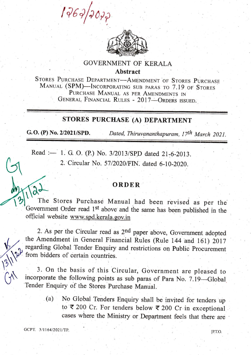1767



## **GOVERNMENT OF KERALA** Abstract

STORES PURCHASE DEPARTMENT-AMENDMENT OF STORES PURCHASE MANUAL (SPM)-INCORPORATING SUB PARAS TO 7.19 OF STORES PURCHASE MANUAL AS PER AMENDMENTS IN GENERAL FINANCIAL RULES - 2017-ORDERS ISSUED.

## sToRES PURCHASE (A) DEPARTMENT

G.O. (P) No. 2/2021/SPD. Dated, Thiruvananthapuram,  $17<sup>th</sup> March 2021$ .

Read :- 1. G. O. (P.) No. 3/2013/SPD dated 21-6-2013. 2. Circular No. 57/2020/FIN. dated 6-10-2020.

## ORDER ORDER

The Stores Purchase Manual had been revised as per the Government Order read 1<sup>st</sup> above and the same has been published in the official website www.spd.kerala.gov.in

2. As per the Circular read as  $2<sup>nd</sup>$  paper above, Government adopted the Amendment in General Financial Rules (Rule 144 and 161) 2017 regarding Global Tender Enquiry and restrictions on public procurement from bidders of certain countries.

3. On the basis of this Circular, Government are pleased to incorporate the following points as sub paras of para No. 7.19-Global Tender Enquiry of the Stores purchase Mamial.

> (a) No Global Tenders Enquiry shall be invited for tenders up to'{ 200 Cr. For tenders below < 200 Cr in exceptional cases where the Ministry or Department feels that there are

**GCPT.** 3/1164/2021/TP. [P.T.O.

**13/1/22** 

 $Q_{\prime}$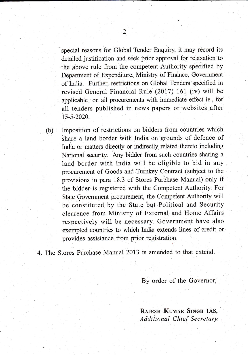special reasons for Global Tender Enquiry it may record its detailed justification and seek prior approval for relaxation to the above rule from the competent Authority specified by Department of Expenditure, Ministry bf Finance, Government of India. Further, restrictions on Global Tenders specified in revised General Financial Rule (2017) 161 (iv) will be . applicable on all procurements with imrnediate effect ie., for all tenders published in news papers or websites after t5-5-2020.

(b) Imposition of restrictions on bidders from countries which share a land border with India on grounds of defence of India or matters directly or indirectly related thereto including National security. Any bidder from such countries sharing a land border with India will be eligible to bid in any procurement of Goods and Turnkey Contract (subject to the provisions in para 18.3 of Stores Purchase Manual) only if the bidder is registered with the Competent Authority. For State Government procurement, the Competent Authority will be constituted by the State but.Political and Security clearence from Ministry of External and Home Affairs respectively wilt be necessary. Government have also exempted countries to which India extends lines of credit or provides assistance from prior registration.

4. The Stores Purchase Manual 2013 is amended to that extend.

By order of the Governor,

RAJESH KUMAR SINGH IAS, Additional Chief Secretary.